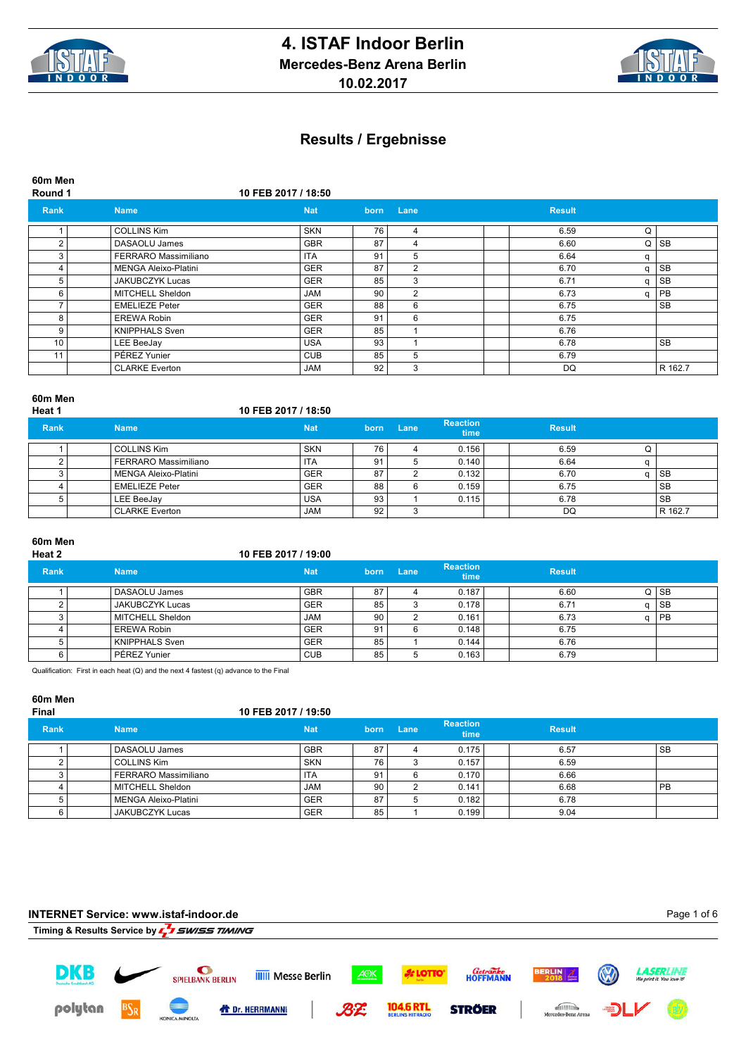



**60m Men Round 1 10 FEB 2017 / 18:50 Rank Name Nat born Lane Result** 1 COLLINS Kim SKN 76 4 6.59 Q 2 DASAOLU James GBR 87 4 6.60 Q SB 3 FERRARO Massimiliano ITA 91 5 6.64 q<br>4 MENGA Aleixo-Platini GER 87 2 6.70 q SB MENGA Aleixo-Platini 5 JAKUBCZYK Lucas GER 85 3 6.71 q SB<br>6 MITCHELL Sheldon JAM 90 2 6.73 q PB MITCHELL Sheldon **JAM 90 2** 6.73 7 EMELIEZE Peter GER 88 6 6.75 SB 8 EREWA Robin GER 91 6 6.75 9 KNIPPHALS Sven GER 85 1 6.76<br>10 LEE BeeJay USA 93 1 6.78 10 LEE BeeJay USA 93 1 6.78 SB 11 PÉREZ Yunier CUB 85 5 6.79 CLARKE Everton JAM 92 3 DQ R 162.7

#### **60m Men**

| Heat 1      |                             | 10 FEB 2017 / 18:50 |      |      |                         |               |           |
|-------------|-----------------------------|---------------------|------|------|-------------------------|---------------|-----------|
| <b>Rank</b> | <b>Name</b>                 | <b>Nat</b>          | born | Lane | <b>Reaction</b><br>time | <b>Result</b> |           |
|             | <b>COLLINS Kim</b>          | <b>SKN</b>          | 76   |      | 0.156                   | 6.59          |           |
|             | FERRARO Massimiliano        | <b>ITA</b>          | 91   |      | 0.140                   | 6.64          |           |
|             | <b>MENGA Aleixo-Platini</b> | <b>GER</b>          | 87   |      | 0.132                   | 6.70          | <b>SB</b> |
|             | <b>EMELIEZE Peter</b>       | <b>GER</b>          | 88   | 6    | 0.159                   | 6.75          | <b>SB</b> |
|             | LEE BeeJay                  | <b>USA</b>          | 93   |      | 0.115                   | 6.78          | <b>SB</b> |
|             | <b>CLARKE Everton</b>       | <b>JAM</b>          | 92   |      |                         | DQ            | R 162.7   |

# **60m Men**

#### **Heat 2 10 FEB 2017 / 19:00**

| <b>Rank</b> | <b>Name</b>            | <b>Nat</b> | born | Lane | <b>Reaction</b><br>time | <b>Result</b> |           |
|-------------|------------------------|------------|------|------|-------------------------|---------------|-----------|
|             | DASAOLU James          | <b>GBR</b> | 87   |      | 0.187                   | 6.60          | QSB       |
|             | <b>JAKUBCZYK Lucas</b> | <b>GER</b> | 85   |      | 0.178                   | 6.71          | <b>SB</b> |
|             | MITCHELL Sheldon       | <b>JAM</b> | 90   |      | 0.161                   | 6.73          | I PB      |
|             | <b>EREWA Robin</b>     | <b>GER</b> | 91   |      | 0.148                   | 6.75          |           |
|             | <b>KNIPPHALS Sven</b>  | <b>GER</b> | 85   |      | 0.144                   | 6.76          |           |
| 6           | PÉREZ Yunier           | <b>CUB</b> | 85   |      | 0.163                   | 6.79          |           |

Qualification: First in each heat (Q) and the next 4 fastest (q) advance to the Final

#### **60m Men**

#### **Final 10 FEB 2017 / 19:50**

| <b>Rank</b> | <b>Name</b>            | <b>Nat</b> | born | Lane | <b>Reaction</b><br>time | <b>Result</b> |           |
|-------------|------------------------|------------|------|------|-------------------------|---------------|-----------|
|             | DASAOLU James          | <b>GBR</b> | 87   |      | 0.175                   | 6.57          | <b>SB</b> |
|             | <b>COLLINS Kim</b>     | <b>SKN</b> | 76   |      | 0.157                   | 6.59          |           |
|             | FERRARO Massimiliano   | <b>ITA</b> | 91   |      | 0.170                   | 6.66          |           |
|             | MITCHELL Sheldon       | <b>JAM</b> | 90   |      | 0.141                   | 6.68          | <b>PB</b> |
|             | l MENGA Aleixo-Platini | <b>GER</b> | 87   |      | 0.182                   | 6.78          |           |
|             | <b>JAKUBCZYK Lucas</b> | <b>GER</b> | 85   |      | 0.199                   | 9.04          |           |

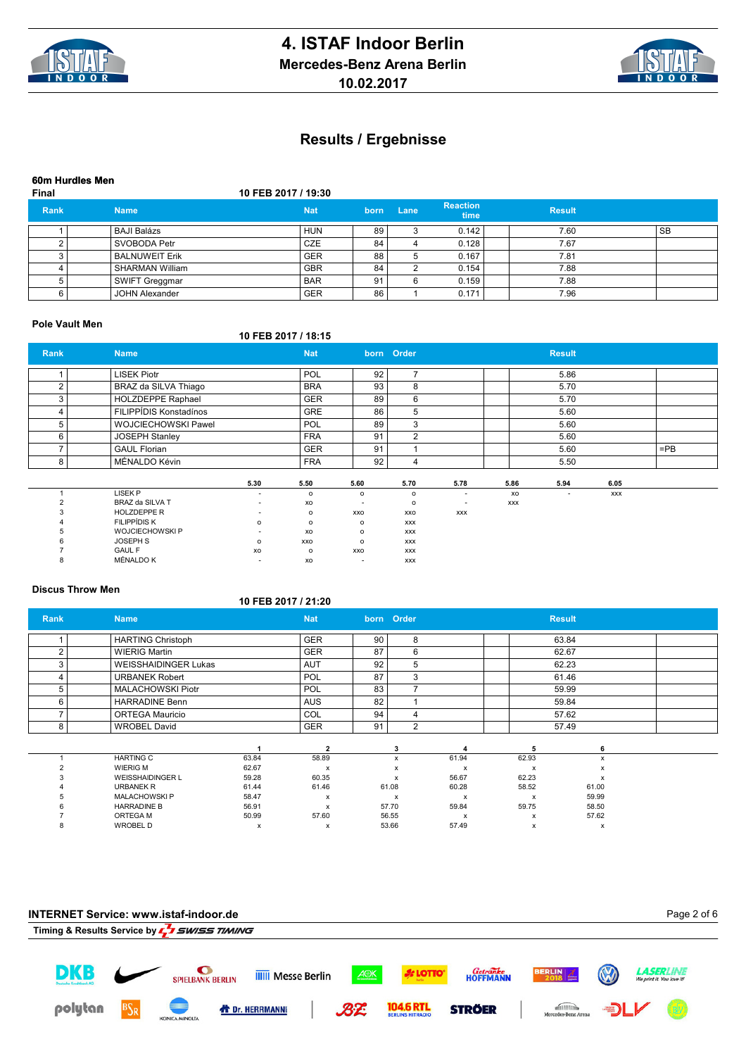



**60m Hurdles Men**

## **Final 10 FEB 2017 / 19:30**

| <b>Rank</b> | <b>Name</b>           | <b>Nat</b> | born | Lane | <b>Reaction</b><br>time | <b>Result</b> |           |
|-------------|-----------------------|------------|------|------|-------------------------|---------------|-----------|
|             | BAJI Balázs           | <b>HUN</b> | 89   |      | 0.142                   | 7.60          | <b>SB</b> |
|             | SVOBODA Petr          | <b>CZE</b> | 84   |      | 0.128                   | 7.67          |           |
|             | <b>BALNUWEIT Erik</b> | <b>GER</b> | 88   |      | 0.167                   | 7.81          |           |
|             | l SHARMAN William     | <b>GBR</b> | 84   |      | 0.154                   | 7.88          |           |
|             | SWIFT Greggmar        | <b>BAR</b> | 91   | 6    | 0.159                   | 7.88          |           |
|             | <b>JOHN Alexander</b> | <b>GER</b> | 86   |      | 0.171                   | 7.96          |           |

### **Pole Vault Men**

# **10 FEB 2017 / 18:15**

| Rank           | <b>Name</b>                |                          | <b>Nat</b> |                          | born Order     |                          |            | <b>Result</b>            |            |        |  |
|----------------|----------------------------|--------------------------|------------|--------------------------|----------------|--------------------------|------------|--------------------------|------------|--------|--|
|                | <b>LISEK Piotr</b>         |                          | POL        | 92                       | $\overline{ }$ |                          |            | 5.86                     |            |        |  |
| 2              | BRAZ da SILVA Thiago       |                          | <b>BRA</b> | 93                       | 8              |                          |            | 5.70                     |            |        |  |
| 3              | <b>HOLZDEPPE Raphael</b>   |                          | <b>GER</b> | 89                       | 6              |                          |            | 5.70                     |            |        |  |
| 4              | FILIPPÍDIS Konstadínos     |                          | <b>GRE</b> | 86                       | 5              |                          |            | 5.60                     |            |        |  |
| 5              | <b>WOJCIECHOWSKI Pawel</b> |                          | POL        | 89                       | 3              |                          |            | 5.60                     |            |        |  |
| 6              | <b>JOSEPH Stanley</b>      |                          | <b>FRA</b> | 91                       | $\overline{2}$ |                          |            | 5.60                     |            |        |  |
| 7              | <b>GAUL Florian</b>        |                          | <b>GER</b> | 91                       |                |                          |            | 5.60                     |            | $=$ PB |  |
| 8              | MÉNALDO Kévin              |                          | <b>FRA</b> | 92                       | 4              |                          |            | 5.50                     |            |        |  |
|                |                            | 5.30                     | 5.50       | 5.60                     | 5.70           | 5.78                     | 5.86       | 5.94                     | 6.05       |        |  |
|                | <b>LISEK P</b>             | $\overline{\phantom{a}}$ | $\circ$    | $\circ$                  | $\circ$        | ٠                        | xo         | $\overline{\phantom{a}}$ | <b>XXX</b> |        |  |
| $\overline{2}$ | BRAZ da SILVA T            |                          | XO         | $\overline{\phantom{a}}$ | $\mathsf{o}\,$ | $\overline{\phantom{a}}$ | <b>XXX</b> |                          |            |        |  |
| 3              | <b>HOLZDEPPE R</b>         | $\sim$                   | $\circ$    | XXO                      | XXO            | <b>XXX</b>               |            |                          |            |        |  |
|                | <b>FILIPPÍDIS K</b>        | o                        | $\circ$    | $\mathsf{o}$             | <b>XXX</b>     |                          |            |                          |            |        |  |
| 5              | <b>WOJCIECHOWSKIP</b>      |                          | xo         | $\circ$                  | <b>XXX</b>     |                          |            |                          |            |        |  |
|                | <b>JOSEPH S</b>            | $\Omega$                 | XXO        | $\circ$                  | <b>XXX</b>     |                          |            |                          |            |        |  |
|                | <b>GAUL F</b>              | XO                       | $\circ$    | XXO                      | <b>XXX</b>     |                          |            |                          |            |        |  |
| 8              | <b>MÉNALDO K</b>           |                          | XO         | ٠                        | <b>XXX</b>     |                          |            |                          |            |        |  |

## **Discus Throw Men**

|               |                             |       | 10 FEB 2017 / 21:20       |    |                |       |       |               |  |
|---------------|-----------------------------|-------|---------------------------|----|----------------|-------|-------|---------------|--|
| <b>Rank</b>   | <b>Name</b>                 |       | <b>Nat</b>                |    | born Order     |       |       | <b>Result</b> |  |
|               | <b>HARTING Christoph</b>    |       | <b>GER</b>                | 90 | 8              |       |       | 63.84         |  |
| 2             | <b>WIERIG Martin</b>        |       | <b>GER</b>                | 87 | 6              |       |       | 62.67         |  |
| 3             | <b>WEISSHAIDINGER Lukas</b> |       | <b>AUT</b>                | 92 | 5              |       |       | 62.23         |  |
| 4             | <b>URBANEK Robert</b>       |       | POL                       | 87 | 3              |       |       | 61.46         |  |
| 5             | <b>MALACHOWSKI Piotr</b>    |       | POL                       | 83 | 7              |       |       | 59.99         |  |
| 6             | <b>HARRADINE Benn</b>       |       | <b>AUS</b>                | 82 |                |       |       | 59.84         |  |
|               | <b>ORTEGA Mauricio</b>      |       | COL                       | 94 | 4              |       |       | 57.62         |  |
| 8             | <b>WROBEL David</b>         |       | <b>GER</b>                | 91 | $\overline{2}$ |       |       | 57.49         |  |
|               |                             |       | $\overline{2}$            |    | 3              |       | 5     | 6             |  |
|               | <b>HARTING C</b>            | 63.84 | 58.89                     |    | x              | 61.94 | 62.93 | x             |  |
| $\mathcal{P}$ | <b>WIERIG M</b>             | 62.67 | $\boldsymbol{\mathsf{x}}$ |    | x              | x     | x     | х             |  |
|               | <b>WEISSHAIDINGER L</b>     | 59.28 | 60.35                     |    | x              | 56.67 | 62.23 | х             |  |
|               | <b>URBANEK R</b>            | 61.44 | 61.46                     |    | 61.08          | 60.28 | 58.52 | 61.00         |  |
|               | <b>MALACHOWSKIP</b>         | 58.47 | x                         |    | x              | x     | x     | 59.99         |  |
|               | <b>HARRADINE B</b>          | 56.91 | x                         |    | 57.70          | 59.84 | 59.75 | 58.50         |  |
|               | ORTEGA M                    | 50.99 | 57.60                     |    | 56.55          | x     | x     | 57.62         |  |
|               | <b>WROBEL D</b>             | х     | x                         |    | 53.66          | 57.49 | x     | x             |  |

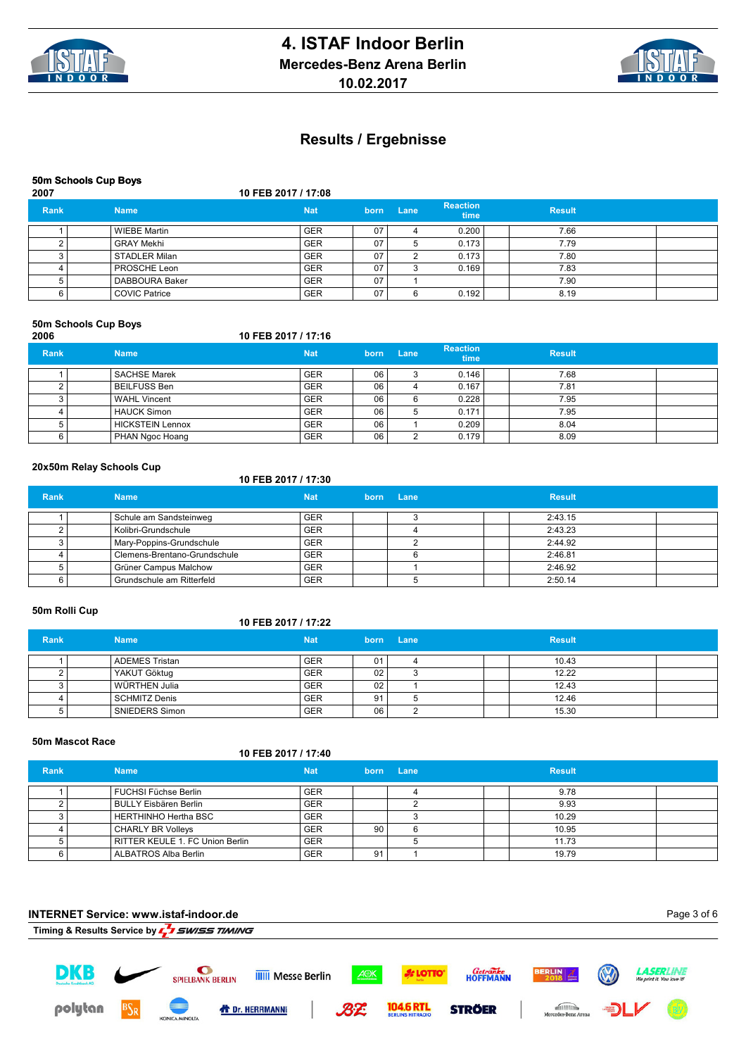



### **50m Schools Cup Boys**

### **2007 10 FEB 2017 / 17:08**

| <b>Rank</b> | <b>Name</b>          | <b>Nat</b> | born | Lane | <b>Reaction</b><br>\time | <b>Result</b> |  |
|-------------|----------------------|------------|------|------|--------------------------|---------------|--|
|             | <b>WIEBE Martin</b>  | <b>GER</b> | 07   |      | 0.200                    | 7.66          |  |
|             | <b>GRAY Mekhi</b>    | <b>GER</b> | 07   |      | 0.173                    | 7.79          |  |
|             | l STADLER Milan      | <b>GER</b> | 07   | ົ    | 0.173                    | 7.80          |  |
|             | <b>PROSCHE Leon</b>  | <b>GER</b> | 07   |      | 0.169                    | 7.83          |  |
|             | DABBOURA Baker       | <b>GER</b> | 07   |      |                          | 7.90          |  |
|             | <b>COVIC Patrice</b> | <b>GER</b> | 07   | 6    | 0.192                    | 8.19          |  |

#### **50m Schools Cup Boys**

#### **2006 10 FEB 2017 / 17:16 Rank Name Nat born Lane Reaction Reaction**<br> **time Result** 1 SACHSE Marek GER 06 3 0.146 7.68 2 BEILFUSS Ben GER 06 4 0.167 7.81 3 WAHL Vincent GER 06 6 0.228 7.95 4 HAUCK Simon GER 06 5 0.171 7.95 5 HICKSTEIN Lennox GER 06 1 0.209 8.04 6 PHAN Ngoc Hoang GER 06 2 0.179 8.09

#### **20x50m Relay Schools Cup**

### **10 FEB 2017 / 17:30**

| Rank | <b>Name</b>                  | <b>Nat</b> | born Lane | <b>Result</b> |
|------|------------------------------|------------|-----------|---------------|
|      | Schule am Sandsteinweg       | <b>GER</b> |           | 2:43.15       |
|      | Kolibri-Grundschule          | <b>GER</b> |           | 2:43.23       |
|      | Mary-Poppins-Grundschule     | <b>GER</b> |           | 2:44.92       |
|      | Clemens-Brentano-Grundschule | <b>GER</b> |           | 2:46.81       |
|      | Grüner Campus Malchow        | <b>GER</b> |           | 2:46.92       |
|      | Grundschule am Ritterfeld    | <b>GER</b> |           | 2:50.14       |

## **50m Rolli Cup**

### **10 FEB 2017 / 17:22**

| <b>Rank</b> | <b>Name</b>           | <b>Nat</b> |                 | born Lane |  | <b>Result</b> |  |
|-------------|-----------------------|------------|-----------------|-----------|--|---------------|--|
|             | <b>ADEMES Tristan</b> | <b>GER</b> | 01              |           |  | 10.43         |  |
|             | YAKUT Göktug          | <b>GER</b> | 02 <sub>1</sub> |           |  | 12.22         |  |
|             | l WÜRTHEN Julia       | <b>GER</b> | 02              |           |  | 12.43         |  |
|             | l SCHMITZ Denis       | <b>GER</b> | 91              |           |  | 12.46         |  |
|             | SNIEDERS Simon        | <b>GER</b> | 06              |           |  | 15.30         |  |

#### **50m Mascot Race**

|             | ovill massul inave              | 10 FEB 2017 / 17:40 |    |           |               |  |
|-------------|---------------------------------|---------------------|----|-----------|---------------|--|
|             |                                 |                     |    |           |               |  |
| <b>Rank</b> | <b>Name</b>                     | <b>Nat</b>          |    | born Lane | <b>Result</b> |  |
|             | FUCHSI Füchse Berlin            | <b>GER</b>          |    |           | 9.78          |  |
|             | BULLY Eisbären Berlin           | <b>GER</b>          |    |           | 9.93          |  |
|             | <b>HERTHINHO Hertha BSC</b>     | <b>GER</b>          |    |           | 10.29         |  |
|             | <b>CHARLY BR Volleys</b>        | <b>GER</b>          | 90 |           | 10.95         |  |
|             |                                 |                     |    |           |               |  |
|             | RITTER KEULE 1. FC Union Berlin | <b>GER</b>          |    |           | 11.73         |  |
|             | ALBATROS Alba Berlin            | <b>GER</b>          | 91 |           | 19.79         |  |

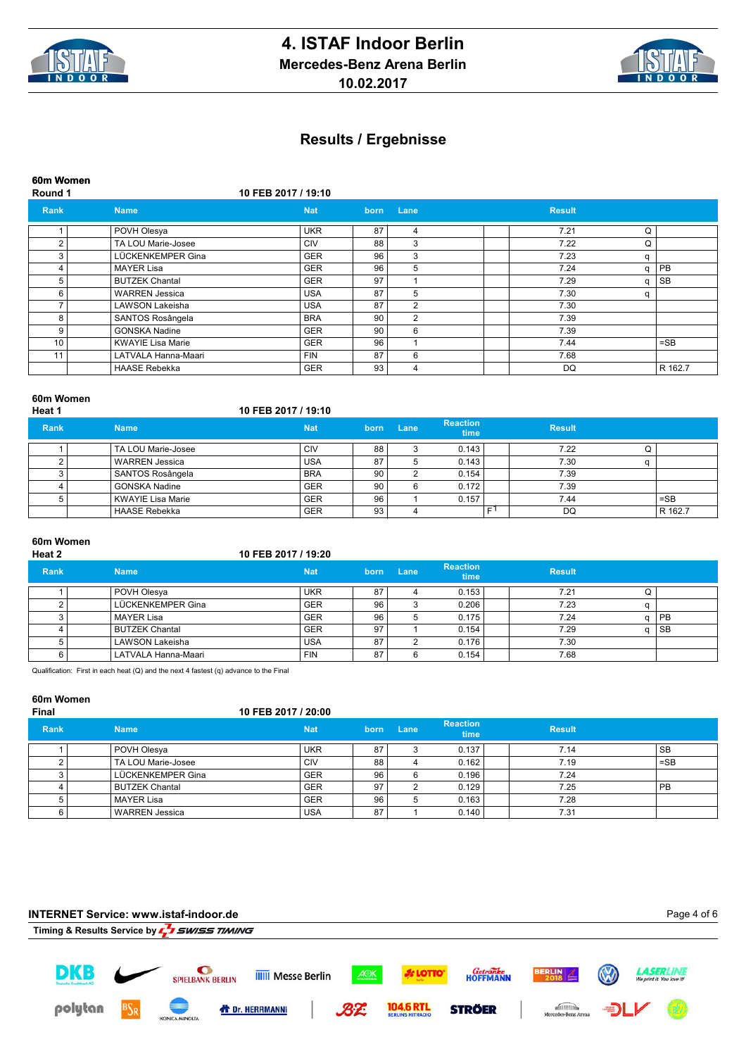



**60m Women**

**Round 1 10 FEB 2017 / 19:10**

| Rank   | <b>Name</b>              | <b>Nat</b> | born | Lane           | <b>Result</b> |   |           |
|--------|--------------------------|------------|------|----------------|---------------|---|-----------|
|        | POVH Olesya              | <b>UKR</b> | 87   | 4              | 7.21          | Q |           |
| $\sim$ | TA LOU Marie-Josee       | CIV        | 88   | 3              | 7.22          | Q |           |
|        | LÜCKENKEMPER Gina        | <b>GER</b> | 96   | 3              | 7.23          | a |           |
|        | <b>MAYER Lisa</b>        | <b>GER</b> | 96   | 5              | 7.24          | q | PB.       |
| 5      | <b>BUTZEK Chantal</b>    | <b>GER</b> | 97   |                | 7.29          | a | <b>SB</b> |
| ี      | <b>WARREN Jessica</b>    | <b>USA</b> | 87   | 5              | 7.30          | a |           |
|        | <b>LAWSON Lakeisha</b>   | <b>USA</b> | 87   | $\overline{2}$ | 7.30          |   |           |
| 8      | SANTOS Rosângela         | <b>BRA</b> | 90   | 2              | 7.39          |   |           |
| q      | GONSKA Nadine            | <b>GER</b> | 90   | 6              | 7.39          |   |           |
| 10     | <b>KWAYIE Lisa Marie</b> | <b>GER</b> | 96   |                | 7.44          |   | $=$ SB    |
| 11     | LATVALA Hanna-Maari      | <b>FIN</b> | 87   | 6              | 7.68          |   |           |
|        | <b>HAASE Rebekka</b>     | <b>GER</b> | 93   | 4              | DQ            |   | R 162.7   |

#### **60m Women**

| Heat 1      |                      | 10 FEB 2017 / 19:10 |      |      |                         |   |               |   |         |
|-------------|----------------------|---------------------|------|------|-------------------------|---|---------------|---|---------|
| <b>Rank</b> | <b>Name</b>          | <b>Nat</b>          | born | Lane | <b>Reaction</b><br>time |   | <b>Result</b> |   |         |
|             | TA LOU Marie-Josee   | <b>CIV</b>          | 88   |      | 0.143                   |   | 7.22          | U |         |
|             | WARREN Jessica       | <b>USA</b>          | 87   |      | 0.143                   |   | 7.30          |   |         |
|             | SANTOS Rosângela     | <b>BRA</b>          | 90   |      | 0.154                   |   | 7.39          |   |         |
|             | <b>GONSKA Nadine</b> | <b>GER</b>          | 90   |      | 0.172                   |   | 7.39          |   |         |
|             | l KWAYIE Lisa Marie  | <b>GER</b>          | 96   |      | 0.157                   |   | 7.44          |   | $=$ SB  |
|             | <b>HAASE Rebekka</b> | <b>GER</b>          | 93   |      |                         | Е | DQ            |   | R 162.7 |

# **60m Women**

#### **Heat 2 10 FEB 2017 / 19:20**

| <b>Rank</b> | <b>Name</b>           | <b>Nat</b> | born | Lane | <b>Reaction</b><br>time | <b>Result</b> |           |
|-------------|-----------------------|------------|------|------|-------------------------|---------------|-----------|
|             | POVH Olesya           | <b>UKR</b> | 87   |      | 0.153                   | 7.21          |           |
|             | LÜCKENKEMPER Gina     | <b>GER</b> | 96   |      | 0.206                   | 7.23          |           |
|             | l MAYER Lisa          | <b>GER</b> | 96   |      | 0.175                   | 7.24          | a IPB     |
|             | <b>BUTZEK Chantal</b> | <b>GER</b> | 97   |      | 0.154                   | 7.29          | <b>SB</b> |
|             | LAWSON Lakeisha       | <b>USA</b> | 87   |      | 0.176                   | 7.30          |           |
|             | LATVALA Hanna-Maari   | <b>FIN</b> | 87   |      | 0.154                   | 7.68          |           |

Qualification: First in each heat (Q) and the next 4 fastest (q) advance to the Final

# **60m Women**

#### **Final 10 FEB 2017 / 20:00**

| <b>Rank</b> | <b>Name</b>           | <b>Nat</b> | born | Lane | <b>Reaction</b><br>time | <b>Result</b> |           |
|-------------|-----------------------|------------|------|------|-------------------------|---------------|-----------|
|             | POVH Olesya           | UKR        | 87   |      | 0.137                   | 7.14          | SB        |
|             | TA LOU Marie-Josee    | CIV        | 88   |      | 0.162                   | 7.19          | $=$ SB    |
|             | LÜCKENKEMPER Gina     | <b>GER</b> | 96   | 6    | 0.196                   | 7.24          |           |
|             | <b>BUTZEK Chantal</b> | <b>GER</b> | 97   |      | 0.129                   | 7.25          | <b>PB</b> |
|             | l MAYER Lisa          | <b>GER</b> | 96   |      | 0.163                   | 7.28          |           |
|             | WARREN Jessica        | <b>USA</b> | 87   |      | 0.140                   | 7.31          |           |

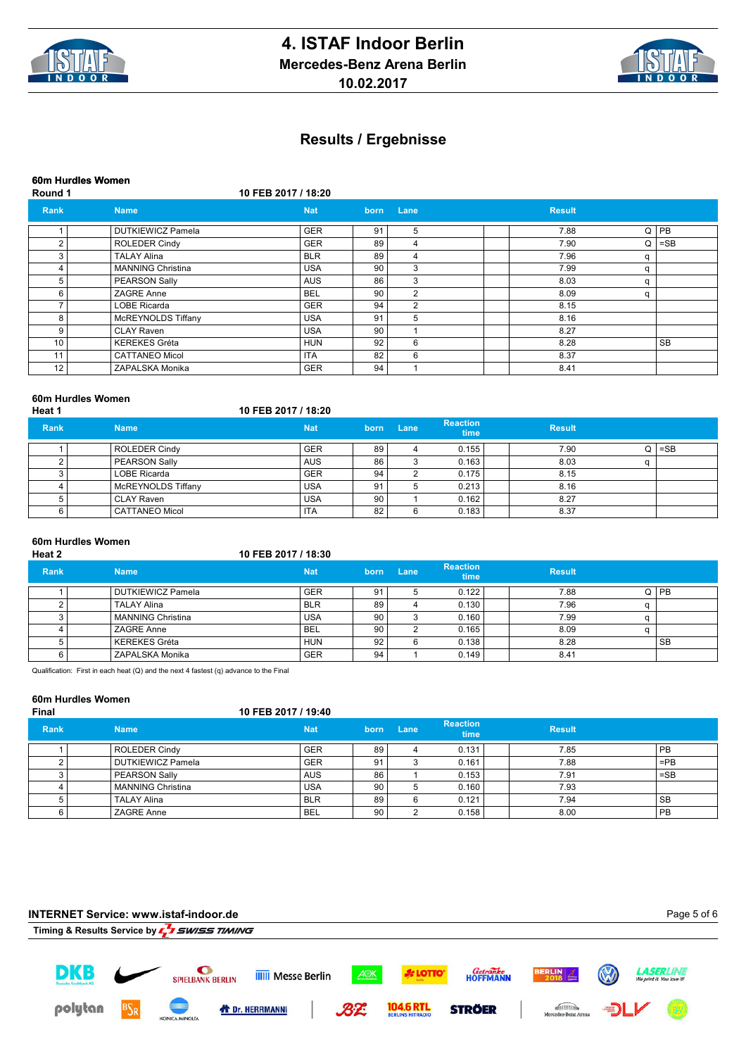



## **60m Hurdles Women**

**Round 1 10 FEB 2017 / 18:20**

| Rank | <b>Name</b>              | <b>Nat</b> | born | Lane | <b>Result</b> |   |           |
|------|--------------------------|------------|------|------|---------------|---|-----------|
|      | <b>DUTKIEWICZ Pamela</b> | <b>GER</b> | 91   | 5    | 7.88          | Q | PB        |
|      | <b>ROLEDER Cindy</b>     | <b>GER</b> | 89   | 4    | 7.90          | Q | $=$ SB    |
|      | <b>TALAY Alina</b>       | <b>BLR</b> | 89   | 4    | 7.96          | a |           |
|      | <b>MANNING Christina</b> | <b>USA</b> | 90   | 3    | 7.99          | a |           |
| 5    | PEARSON Sally            | <b>AUS</b> | 86   | 3    | 8.03          | a |           |
| ี    | <b>ZAGRE Anne</b>        | <b>BEL</b> | 90   | 2    | 8.09          | a |           |
|      | <b>LOBE Ricarda</b>      | <b>GER</b> | 94   | 2    | 8.15          |   |           |
| я    | McREYNOLDS Tiffany       | <b>USA</b> | 91   | 5    | 8.16          |   |           |
| q    | <b>CLAY Raven</b>        | <b>USA</b> | 90   |      | 8.27          |   |           |
| 10   | <b>KEREKES Gréta</b>     | <b>HUN</b> | 92   | 6    | 8.28          |   | <b>SB</b> |
| 11   | <b>CATTANEO Micol</b>    | <b>ITA</b> | 82   | 6    | 8.37          |   |           |
| 12   | ZAPALSKA Monika          | <b>GER</b> | 94   |      | 8.41          |   |           |

## **60m Hurdles Women**

**Heat 1 10 FEB 2017 / 18:20**

| <b>Rank</b> | <b>Name</b>        | <b>Nat</b> | born | Lane | <b>Reaction</b><br><b>time</b> | <b>Result</b> |   |        |
|-------------|--------------------|------------|------|------|--------------------------------|---------------|---|--------|
|             | ROLEDER Cindy      | <b>GER</b> | 89   |      | 0.155                          | 7.90          | O | $=$ SB |
|             | PEARSON Sally      | <b>AUS</b> | 86   |      | 0.163                          | 8.03          |   |        |
|             | LOBE Ricarda       | <b>GER</b> | 94   |      | 0.175                          | 8.15          |   |        |
|             | McREYNOLDS Tiffany | <b>USA</b> | 91   |      | 0.213                          | 8.16          |   |        |
|             | l CLAY Raven       | <b>USA</b> | 90   |      | 0.162                          | 8.27          |   |        |
|             | CATTANEO Micol     | <b>ITA</b> | 82   |      | 0.183                          | 8.37          |   |        |

# **60m Hurdles Women**

#### **Heat 2 10 FEB 2017 / 18:30**

| <b>Rank</b> | <b>Name</b>              | <b>Nat</b> | born | Lane | <b>Reaction</b><br>time | <b>Result</b> |           |
|-------------|--------------------------|------------|------|------|-------------------------|---------------|-----------|
|             | <b>DUTKIEWICZ Pamela</b> | <b>GER</b> | 91   |      | 0.122                   | 7.88          | Q I PB    |
|             | <b>TALAY Alina</b>       | <b>BLR</b> | 89   |      | 0.130                   | 7.96          |           |
|             | <b>MANNING Christina</b> | <b>USA</b> | 90   |      | 0.160                   | 7.99          |           |
|             | ZAGRE Anne               | <b>BEL</b> | 90   |      | 0.165                   | 8.09          |           |
|             | <b>KEREKES Gréta</b>     | <b>HUN</b> | 92   |      | 0.138                   | 8.28          | <b>SB</b> |
|             | ZAPALSKA Monika          | <b>GER</b> | 94   |      | 0.149                   | 8.41          |           |

Qualification: First in each heat (Q) and the next 4 fastest (q) advance to the Final

# **60m Hurdles Women**

#### **Final 10 FEB 2017 / 19:40**

| <b>Rank</b> | <b>Name</b>          | <b>Nat</b> | born | Lane | <b>Reaction</b><br>time | <b>Result</b> |           |
|-------------|----------------------|------------|------|------|-------------------------|---------------|-----------|
|             | ROLEDER Cindy        | GER        | 89   |      | 0.131                   | 7.85          | PB        |
|             | DUTKIEWICZ Pamela    | <b>GER</b> | 91   |      | 0.161                   | 7.88          | $=$ PB    |
|             | <b>PEARSON Sally</b> | <b>AUS</b> | 86   |      | 0.153                   | 7.91          | $=$ SB    |
|             | MANNING Christina    | <b>USA</b> | 90   |      | 0.160                   | 7.93          |           |
|             | TALAY Alina          | <b>BLR</b> | 89   |      | 0.121                   | 7.94          | l SB      |
|             | ZAGRE Anne           | <b>BEL</b> | 90   |      | 0.158                   | 8.00          | <b>PB</b> |